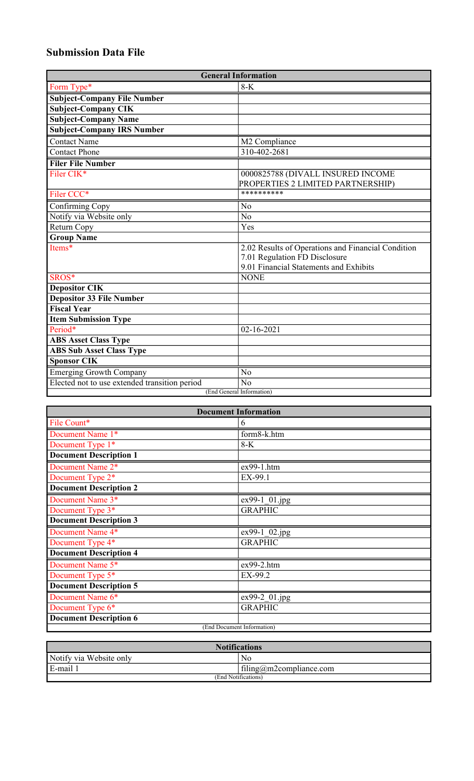## **Submission Data File**

| <b>General Information</b>                    |                                                    |  |
|-----------------------------------------------|----------------------------------------------------|--|
| Form Type*                                    | $8-K$                                              |  |
| <b>Subject-Company File Number</b>            |                                                    |  |
| <b>Subject-Company CIK</b>                    |                                                    |  |
| <b>Subject-Company Name</b>                   |                                                    |  |
| <b>Subject-Company IRS Number</b>             |                                                    |  |
| <b>Contact Name</b>                           | M2 Compliance                                      |  |
| <b>Contact Phone</b>                          | 310-402-2681                                       |  |
| <b>Filer File Number</b>                      |                                                    |  |
| Filer CIK*                                    | 0000825788 (DIVALL INSURED INCOME                  |  |
|                                               | PROPERTIES 2 LIMITED PARTNERSHIP)                  |  |
| Filer CCC*                                    | **********                                         |  |
| Confirming Copy                               | $\overline{No}$                                    |  |
| Notify via Website only                       | $\overline{No}$                                    |  |
| Return Copy                                   | Yes                                                |  |
| <b>Group Name</b>                             |                                                    |  |
| Items*                                        | 2.02 Results of Operations and Financial Condition |  |
|                                               | 7.01 Regulation FD Disclosure                      |  |
|                                               | 9.01 Financial Statements and Exhibits             |  |
| SROS*                                         | <b>NONE</b>                                        |  |
| <b>Depositor CIK</b>                          |                                                    |  |
| Depositor 33 File Number                      |                                                    |  |
| <b>Fiscal Year</b>                            |                                                    |  |
| <b>Item Submission Type</b>                   |                                                    |  |
| Period*                                       | $02 - 16 - 2021$                                   |  |
| <b>ABS Asset Class Type</b>                   |                                                    |  |
| <b>ABS Sub Asset Class Type</b>               |                                                    |  |
| <b>Sponsor CIK</b>                            |                                                    |  |
| <b>Emerging Growth Company</b>                | N <sub>o</sub>                                     |  |
| Elected not to use extended transition period | N <sub>o</sub>                                     |  |
| (End General Information)                     |                                                    |  |

| <b>Document Information</b>   |                |  |
|-------------------------------|----------------|--|
| File Count*                   | 6              |  |
| Document Name 1*              | form8-k.htm    |  |
| Document Type 1*              | $8-K$          |  |
| <b>Document Description 1</b> |                |  |
| Document Name 2*              | ex99-1.htm     |  |
| Document Type 2*              | EX-99.1        |  |
| <b>Document Description 2</b> |                |  |
| Document Name 3*              | ex99-1 01.jpg  |  |
| Document Type 3*              | <b>GRAPHIC</b> |  |
| <b>Document Description 3</b> |                |  |
| Document Name 4*              | ex99-1 02.jpg  |  |
| Document Type 4*              | <b>GRAPHIC</b> |  |
| <b>Document Description 4</b> |                |  |
| Document Name 5*              | $ex99-2.htm$   |  |
| Document Type 5*              | EX-99.2        |  |
| <b>Document Description 5</b> |                |  |
| Document Name 6*              | ex99-2 01.jpg  |  |
| Document Type 6*              | <b>GRAPHIC</b> |  |
| <b>Document Description 6</b> |                |  |
| (End Document Information)    |                |  |

| <b>Notifications</b>    |                         |  |
|-------------------------|-------------------------|--|
| Notify via Website only | No                      |  |
| E-mail 1                | filing@m2compliance.com |  |
| (End Notifications)     |                         |  |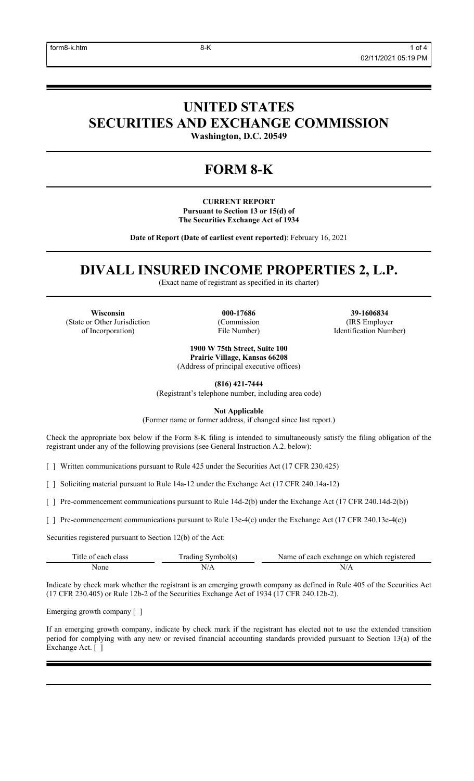# **UNITED STATES SECURITIES AND EXCHANGE COMMISSION**

**Washington, D.C. 20549**

## **FORM 8-K**

**CURRENT REPORT Pursuant to Section 13 or 15(d) of The Securities Exchange Act of 1934**

**Date of Report (Date of earliest event reported)**: February 16, 2021

## **DIVALL INSURED INCOME PROPERTIES 2, L.P.**

(Exact name of registrant as specified in its charter)

**Wisconsin 000-17686 39-1606834** (State or Other Jurisdiction of Incorporation)

(Commission File Number)

(IRS Employer Identification Number)

**1900 W 75th Street, Suite 100 Prairie Village, Kansas 66208** (Address of principal executive offices)

**(816) 421-7444**

(Registrant's telephone number, including area code)

**Not Applicable**

(Former name or former address, if changed since last report.)

Check the appropriate box below if the Form 8-K filing is intended to simultaneously satisfy the filing obligation of the registrant under any of the following provisions (see General Instruction A.2. below):

[ ] Written communications pursuant to Rule 425 under the Securities Act (17 CFR 230.425)

[ ] Soliciting material pursuant to Rule 14a-12 under the Exchange Act (17 CFR 240.14a-12)

[ ] Pre-commencement communications pursuant to Rule 14d-2(b) under the Exchange Act (17 CFR 240.14d-2(b))

[ ] Pre-commencement communications pursuant to Rule 13e-4(c) under the Exchange Act (17 CFR 240.13e-4(c))

Securities registered pursuant to Section 12(b) of the Act:

| Title of each class | Fading Symbol(s) | Name of each exchange on which registered |
|---------------------|------------------|-------------------------------------------|
| None                |                  |                                           |

Indicate by check mark whether the registrant is an emerging growth company as defined in Rule 405 of the Securities Act (17 CFR 230.405) or Rule 12b-2 of the Securities Exchange Act of 1934 (17 CFR 240.12b-2).

Emerging growth company [ ]

If an emerging growth company, indicate by check mark if the registrant has elected not to use the extended transition period for complying with any new or revised financial accounting standards provided pursuant to Section 13(a) of the Exchange Act. [ ]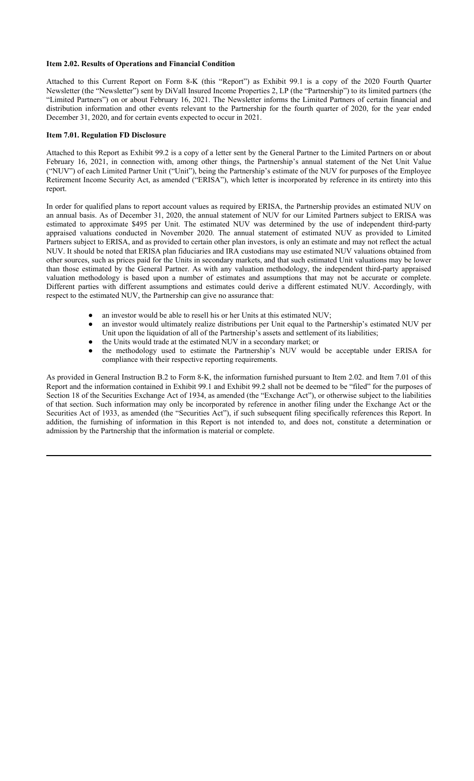#### **Item 2.02. Results of Operations and Financial Condition**

Attached to this Current Report on Form 8-K (this "Report") as Exhibit 99.1 is a copy of the 2020 Fourth Quarter Newsletter (the "Newsletter") sent by DiVall Insured Income Properties 2, LP (the "Partnership") to its limited partners (the "Limited Partners") on or about February 16, 2021. The Newsletter informs the Limited Partners of certain financial and distribution information and other events relevant to the Partnership for the fourth quarter of 2020, for the year ended December 31, 2020, and for certain events expected to occur in 2021.

#### **Item 7.01. Regulation FD Disclosure**

Attached to this Report as Exhibit 99.2 is a copy of a letter sent by the General Partner to the Limited Partners on or about February 16, 2021, in connection with, among other things, the Partnership's annual statement of the Net Unit Value ("NUV") of each Limited Partner Unit ("Unit"), being the Partnership's estimate of the NUV for purposes of the Employee Retirement Income Security Act, as amended ("ERISA"), which letter is incorporated by reference in its entirety into this report.

In order for qualified plans to report account values as required by ERISA, the Partnership provides an estimated NUV on an annual basis. As of December 31, 2020, the annual statement of NUV for our Limited Partners subject to ERISA was estimated to approximate \$495 per Unit. The estimated NUV was determined by the use of independent third-party appraised valuations conducted in November 2020. The annual statement of estimated NUV as provided to Limited Partners subject to ERISA, and as provided to certain other plan investors, is only an estimate and may not reflect the actual NUV. It should be noted that ERISA plan fiduciaries and IRA custodians may use estimated NUV valuations obtained from other sources, such as prices paid for the Units in secondary markets, and that such estimated Unit valuations may be lower than those estimated by the General Partner. As with any valuation methodology, the independent third-party appraised valuation methodology is based upon a number of estimates and assumptions that may not be accurate or complete. Different parties with different assumptions and estimates could derive a different estimated NUV. Accordingly, with respect to the estimated NUV, the Partnership can give no assurance that:

- an investor would be able to resell his or her Units at this estimated NUV;
- an investor would ultimately realize distributions per Unit equal to the Partnership's estimated NUV per Unit upon the liquidation of all of the Partnership's assets and settlement of its liabilities;
- the Units would trade at the estimated NUV in a secondary market; or
- the methodology used to estimate the Partnership's NUV would be acceptable under ERISA for compliance with their respective reporting requirements.

As provided in General Instruction B.2 to Form 8-K, the information furnished pursuant to Item 2.02. and Item 7.01 of this Report and the information contained in Exhibit 99.1 and Exhibit 99.2 shall not be deemed to be "filed" for the purposes of Section 18 of the Securities Exchange Act of 1934, as amended (the "Exchange Act"), or otherwise subject to the liabilities of that section. Such information may only be incorporated by reference in another filing under the Exchange Act or the Securities Act of 1933, as amended (the "Securities Act"), if such subsequent filing specifically references this Report. In addition, the furnishing of information in this Report is not intended to, and does not, constitute a determination or admission by the Partnership that the information is material or complete.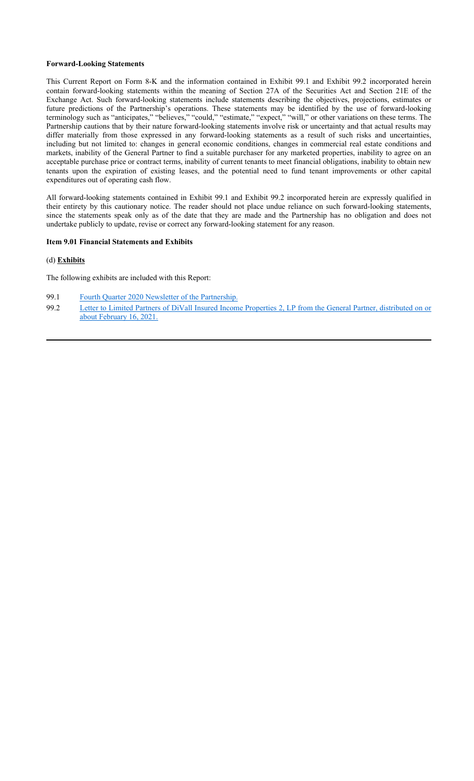#### **Forward-Looking Statements**

This Current Report on Form 8-K and the information contained in Exhibit 99.1 and Exhibit 99.2 incorporated herein contain forward-looking statements within the meaning of Section 27A of the Securities Act and Section 21E of the Exchange Act. Such forward-looking statements include statements describing the objectives, projections, estimates or future predictions of the Partnership's operations. These statements may be identified by the use of forward-looking terminology such as "anticipates," "believes," "could," "estimate," "expect," "will," or other variations on these terms. The Partnership cautions that by their nature forward-looking statements involve risk or uncertainty and that actual results may differ materially from those expressed in any forward-looking statements as a result of such risks and uncertainties, including but not limited to: changes in general economic conditions, changes in commercial real estate conditions and markets, inability of the General Partner to find a suitable purchaser for any marketed properties, inability to agree on an acceptable purchase price or contract terms, inability of current tenants to meet financial obligations, inability to obtain new tenants upon the expiration of existing leases, and the potential need to fund tenant improvements or other capital expenditures out of operating cash flow.

All forward-looking statements contained in Exhibit 99.1 and Exhibit 99.2 incorporated herein are expressly qualified in their entirety by this cautionary notice. The reader should not place undue reliance on such forward-looking statements, since the statements speak only as of the date that they are made and the Partnership has no obligation and does not undertake publicly to update, revise or correct any forward-looking statement for any reason.

#### **Item 9.01 Financial Statements and Exhibits**

#### (d) **Exhibits**

The following exhibits are included with this Report:

- 99.1 Fourth Quarter 2020 Newsletter of the Partnership.
- 99.2 Letter to Limited Partners of DiVall Insured Income Properties 2, LP from the General Partner, distributed on or about February 16, 2021.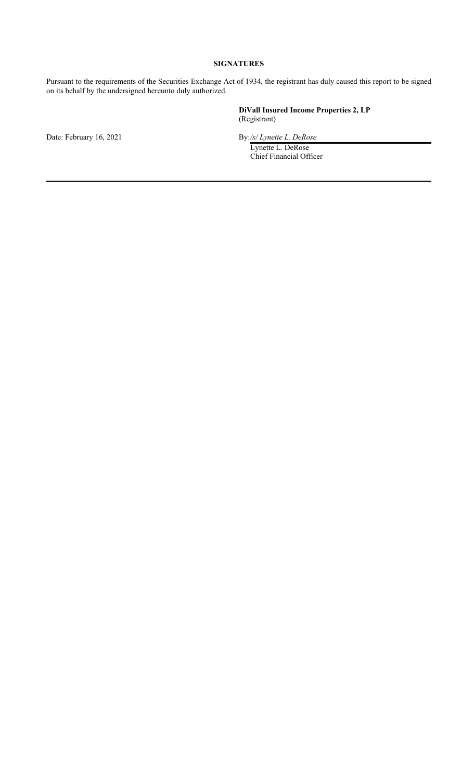## **SIGNATURES**

Pursuant to the requirements of the Securities Exchange Act of 1934, the registrant has duly caused this report to be signed on its behalf by the undersigned hereunto duly authorized.

> **DiVall Insured Income Properties 2, LP** (Registrant)

Date: February 16, 2021 By:/s/ Lynette L. DeRose

Lynette L. DeRose Chief Financial Officer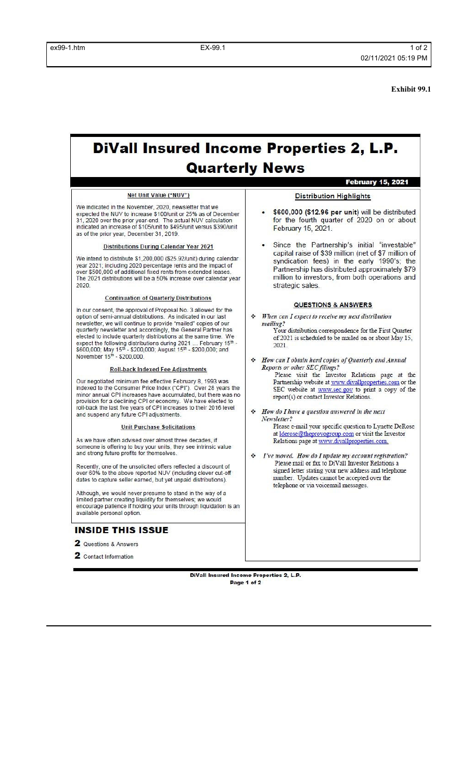2020

available personal option.

2 Questions & Answers 2 Contact Information

**INSIDE THIS ISSUE** 

**Exhibit 99.1**

# **DiVall Insured Income Properties 2, L.P. Quarterly News**

#### Net Unit Value ("NUV") **Distribution Highlights** We indicated in the November, 2020, newsletter that we expected the NUV to increase \$100/unit or 25% as of December 31, 2020 over the prior year-end. The actual NUV calculation<br>indicated an increase of \$105/unit to \$495/unit versus \$390/unit February 15, 2021. as of the prior year, December 31, 2019. Distributions During Calendar Year 2021 We intend to distribute \$1,200,000 (\$25.92/unit) during calendar year 2021; including 2020 percentage rents and the impact of over \$500,000 of additional fixed rents from extended leases. The 2021 distributions will be a 50% increase over calendar year strategic sales. **Continuation of Quarterly Distributions QUESTIONS & ANSWERS** In our consent, the approval of Proposal No. 3 allowed for the When can I expect to receive my next distribution option of semi-annual distributions. As indicated in our last ٠ newsletter, we will continue to provide "mailed" copies of our mailing? quarterly newsletter and accordingly, the General Partner has<br>elected to include quarterly distributions at the same time. We Your distribution correspondence for the First Quarter expect the following distributions during 2021 ... February 15 \$600,000; May 15<sup>th</sup> - \$200,000; August 15<sup>th</sup> - \$200,000; and November 15<sup>th</sup> - \$200,000. . February 15th - $2021$ How can I obtain hard copies of Quarterly and Annual ٠ Reports or other SEC filings? **Roll-back Indexed Fee Adjustments** Our negotiated minimum fee effective February 8, 1993 was indexed to the Consumer Price Index ("CPI"). Over 28 years the minor annual CPI increases have accumulated, but there was no<br>provision for a declining CPI or economy. We have elected to<br>roll-back the last five years of CPI increases to their 2016 level report(s) or contact Investor Relations.  $\div$  How do I have a question answered in the next and suspend any future CPI adjustments. Newsletter? **Unit Purchase Solicitations** As we have often advised over almost three decades, if Relations page at www.divallproperties.com. someone is offering to buy your units, they see intrinsic value<br>and strong future profits for themselves.  $\div$  *I've moved. How do I update my account registration?* Please mail or fax to DiVall Investor Relations a Recently, one of the unsolicited offers reflected a discount of<br>over 60% to the above reported NUV (including clever cut-off number. Updates cannot be accepted over the dates to capture seller earned, but yet unpaid distributions). telephone or via voicemail messages. Although, we would never presume to stand in the way of a limited partner creating liquidity for themselves; we would<br>encourage patience if holding your units through liquidation is an

DiVall Insured Income Properties 2, L.P. Page 1 of 2

**February 15, 2021** 

- \$600,000 (\$12.96 per unit) will be distributed for the fourth quarter of 2020 on or about
- · Since the Partnership's initial "investable" capital raise of \$39 million (net of \$7 million of syndication fees) in the early 1990's; the Partnership has distributed approximately \$79 million to investors, from both operations and
- of 2021 is scheduled to be mailed on or about May 15,
- Please visit the Investor Relations page at the Partnership website at www.divallproperties.com or the SEC website at www.sec.gov to print a copy of the
- Please e-mail your specific question to Lynette DeRose at *lderose@theprovogroup.com* or visit the Investor
- signed letter stating your new address and telephone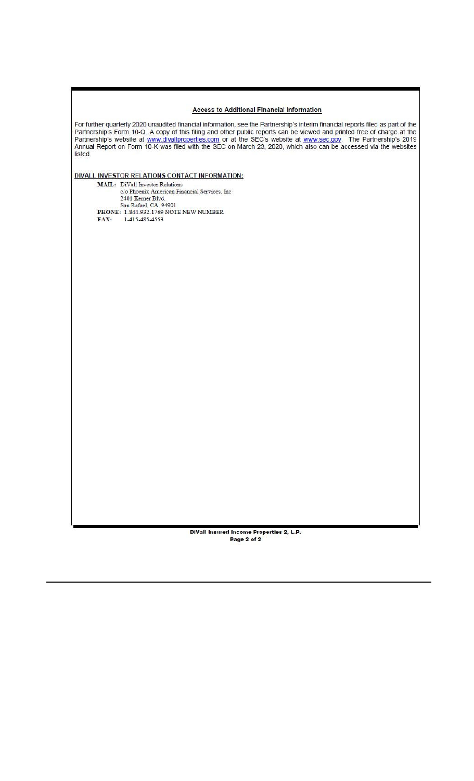## **Access to Additional Financial Information**

For further quarterly 2020 unaudited financial information, see the Partnership's interim financial reports filed as part of the Partnership's Form 10-Q. A copy of this filing and other public reports can be viewed and pri listed.

DIVALL INVESTOR RELATIONS CONTACT INFORMATION:

 $\begin{minipage}{.4\linewidth} \textbf{MAIL:} & \textbf{Divall Investment Retrices, Inc} \\ & \textbf{c/o Phoenix American Financial Services, Inc} \end{minipage}$ 2401 Kerner Blvd. San Rafael, CA 94901<br>PHONE: 1-844-932-1769 NOTE NEW NUMBER FAX: 1-415-485-4553

> DiVall Insured Income Properties 2, L.P. Page 2 of 2